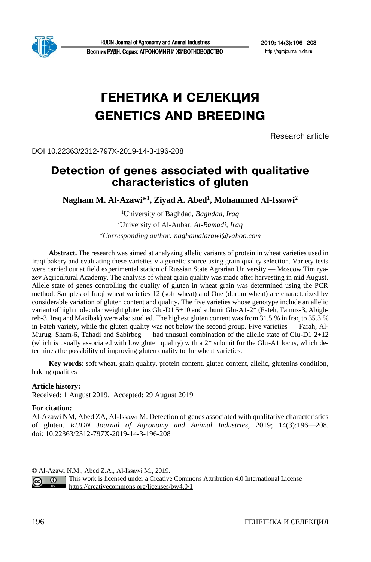

**RUDN Journal of Agronomy and Animal Industries** 

2019: 14(3): 196-208 http://agrojournal.rudn.ru

#### Вестник РУДН. Серия: АГРОНОМИЯ И ЖИВОТНОВОДСТВО

# ГЕНЕТИКА И СЕЛЕКЦИЯ GENETICS AND BREEDING

Research article

DOI 10.22363/2312-797X-2019-14-3-196-208

# Detection of genes associated with qualitative characteristics of gluten

**Nagham M. Al-Azawi\*<sup>1</sup> , Ziyad A. Abed<sup>1</sup> , Mohammed Al‐Issawi<sup>2</sup>**

<sup>1</sup>University of Baghdad, *Baghdad, Iraq* <sup>2</sup>University of Al-Anbar, *Al-Ramadi, Iraq \*Corresponding author: naghamalazawi@yahoo.com*

**Abstract.** The research was aimed at analyzing allelic variants of protein in wheat varieties used in Iraqi bakery and evaluating these varieties via genetic source using grain quality selection. Variety tests were carried out at field experimental station of Russian State Agrarian University — Moscow Timiryazev Agricultural Academy. The analysis of wheat grain quality was made after harvesting in mid August. Allele state of genes controlling the quality of gluten in wheat grain was determined using the PCR method. Samples of Iraqi wheat varieties 12 (soft wheat) and One (durum wheat) are characterized by considerable variation of gluten content and quality. The five varieties whose genotype include an allelic variant of high molecular weight glutenins Glu-D1 5+10 and subunit Glu-A1-2\* (Fateh, Tamuz-3, Abighreb-3, Iraq and Maxibak) were also studied. The highest gluten content was from 31.5 % in Iraq to 35.3 % in Fateh variety, while the gluten quality was not below the second group. Five varieties — Farah, Al-Murug, Sham-6, Tahadi and Sabirbeg — had unusual combination of the allelic state of Glu-D1  $2+12$ (which is usually associated with low gluten quality) with a 2\* subunit for the Glu-A1 locus, which determines the possibility of improving gluten quality to the wheat varieties.

**Key words:** soft wheat, grain quality, protein content, gluten content, allelic, glutenins condition, baking qualities

#### **Article history:**

Received: 1 August 2019. Accepted: 29 August 2019

#### **For citation:**

\_\_\_\_\_\_\_\_\_\_\_\_\_\_\_\_\_

Al-Azawi NM, Abed ZA, Al‐Issawi M. Detection of genes associated with qualitative characteristics of gluten. *RUDN Journal of Agronomy and Animal Industries*, 2019; 14(3):196—208. doi: 10.22363/2312-797X-2019-14-3-196-208

This work is licensed under a Creative Commons Attribution 4.0 International License  $\odot$ <https://creativecommons.org/licenses/by/4.0/1>

 $\left(\mathrm{cc}\right)$ 

<sup>©</sup> Al-Azawi N.M., Abed Z.A., Al‐Issawi M., 2019.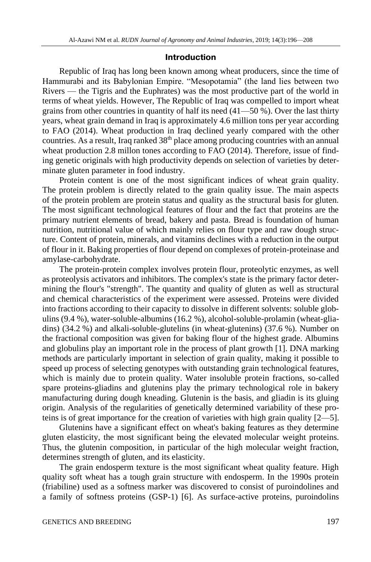#### Introduction

Republic of Iraq has long been known among wheat producers, since the time of Hammurabi and its Babylonian Empire. "Mesopotamia" (the land lies between two Rivers — the Tigris and the Euphrates) was the most productive part of the world in terms of wheat yields. However, The Republic of Iraq was compelled to import wheat grains from other countries in quantity of half its need (41—50 %). Over the last thirty years, wheat grain demand in Iraq is approximately 4.6 million tons per year according to FAO (2014). Wheat production in Iraq declined yearly compared with the other countries. As a result, Iraq ranked 38<sup>th</sup> place among producing countries with an annual wheat production 2.8 millon tones according to FAO (2014). Therefore, issue of finding genetic originals with high productivity depends on selection of varieties by determinate gluten parameter in food industry.

Protein content is one of the most significant indices of wheat grain quality. The protein problem is directly related to the grain quality issue. The main aspects of the protein problem are protein status and quality as the structural basis for gluten. The most significant technological features of flour and the fact that proteins are the primary nutrient elements of bread, bakery and pasta. Bread is foundation of human nutrition, nutritional value of which mainly relies on flour type and raw dough structure. Content of protein, minerals, and vitamins declines with a reduction in the output of flour in it. Baking properties of flour depend on complexes of protein-proteinase and amylase-carbohydrate.

The protein-protein complex involves protein flour, proteolytic enzymes, as well as proteolysis activators and inhibitors. The complex's state is the primary factor determining the flour's "strength". The quantity and quality of gluten as well as structural and chemical characteristics of the experiment were assessed. Proteins were divided into fractions according to their capacity to dissolve in different solvents: soluble globulins (9.4 %), water-soluble-albumins (16.2 %), alcohol-soluble-prolamin (wheat-gliadins) (34.2 %) and alkali-soluble-glutelins (in wheat-glutenins) (37.6 %). Number on the fractional composition was given for baking flour of the highest grade. Albumins and globulins play an important role in the process of plant growth [1]. DNA marking methods are particularly important in selection of grain quality, making it possible to speed up process of selecting genotypes with outstanding grain technological features, which is mainly due to protein quality. Water insoluble protein fractions, so-called spare proteins-gliadins and glutenins play the primary technological role in bakery manufacturing during dough kneading. Glutenin is the basis, and gliadin is its gluing origin. Analysis of the regularities of genetically determined variability of these proteins is of great importance for the creation of varieties with high grain quality [2—5].

Glutenins have a significant effect on wheat's baking features as they determine gluten elasticity, the most significant being the elevated molecular weight proteins. Thus, the glutenin composition, in particular of the high molecular weight fraction, determines strength of gluten, and its elasticity.

The grain endosperm texture is the most significant wheat quality feature. High quality soft wheat has a tough grain structure with endosperm. In the 1990s protein (friabiline) used as a softness marker was discovered to consist of puroindolines and a family of softness proteins (GSP-1) [6]. As surface-active proteins, puroindolins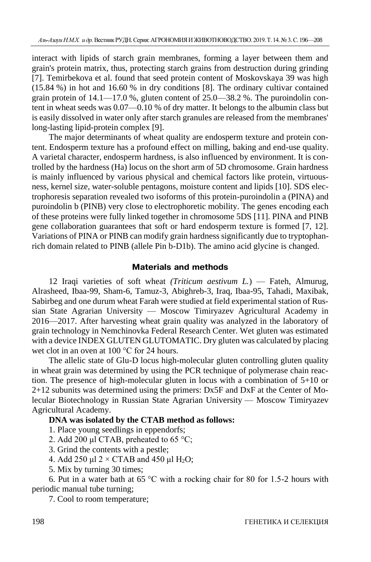interact with lipids of starch grain membranes, forming a layer between them and grain's protein matrix, thus, protecting starch grains from destruction during grinding [7]. Temirbekova et al. found that seed protein content of Moskovskaya 39 was high (15.84 %) in hot and 16.60 % in dry conditions [8]. The ordinary cultivar contained grain protein of 14.1—17.0 %, gluten content of 25.0—38.2 %. The puroindolin content in wheat seeds was 0.07—0.10 % of dry matter. It belongs to the albumin class but is easily dissolved in water only after starch granules are released from the membranes' long-lasting lipid-protein complex [9].

The major determinants of wheat quality are endosperm texture and protein content. Endosperm texture has a profound effect on milling, baking and end-use quality. A varietal character, endosperm hardness, is also influenced by environment. It is controlled by the hardness (Ha) locus on the short arm of 5D chromosome. Grain hardness is mainly influenced by various physical and chemical factors like protein, virtuousness, kernel size, water-soluble pentagons, moisture content and lipids [10]. SDS electrophoresis separation revealed two isoforms of this protein-puroindolin a (PINA) and puroindolin b (PINB) very close to electrophoretic mobility. The genes encoding each of these proteins were fully linked together in chromosome 5DS [11]. PINA and PINB gene collaboration guarantees that soft or hard endosperm texture is formed [7, 12]. Variations of PINA or PINB can modify grain hardness significantly due to tryptophanrich domain related to PINB (allele Pin b-D1b). The amino acid glycine is changed.

## Materials and methods

12 Iraqi varieties of soft wheat *(Triticum aestivum L.*) — Fateh, Almurug, Alrasheed, Ibaa-99, Sham-6, Tamuz-3, Abighreb-3, Iraq, Ibaa-95, Tahadi, Maxibak, Sabirbeg and one durum wheat Farah were studied at field experimental station of Russian State Agrarian University — Moscow Timiryazev Agricultural Academy in 2016—2017. After harvesting wheat grain quality was analyzed in the laboratory of grain technology in Nemchinovka Federal Research Center. Wet gluten was estimated with a device INDEX GLUTEN GLUTOMATIC. Dry gluten was calculated by placing wet clot in an oven at 100 °C for 24 hours.

The allelic state of Glu-D locus high-molecular gluten controlling gluten quality in wheat grain was determined by using the PCR technique of polymerase chain reaction. The presence of high-molecular gluten in locus with a combination of 5+10 or 2+12 subunits was determined using the primers: Dx5F and DxF at the Center of Molecular Biotechnology in Russian State Agrarian University — Moscow Timiryazev Agricultural Academy.

## **DNA was isolated by the CTAB method as follows:**

1. Place young seedlings in eppendorfs;

- 2. Add 200 μl CTAB, preheated to 65 °C;
- 3. Grind the contents with a pestle;
- 4. Add 250 μl  $2 \times CTAB$  and 450 μl H<sub>2</sub>O;
- 5. Mix by turning 30 times;

6. Put in a water bath at 65  $\degree$ C with a rocking chair for 80 for 1.5-2 hours with periodic manual tube turning;

7. Cool to room temperature;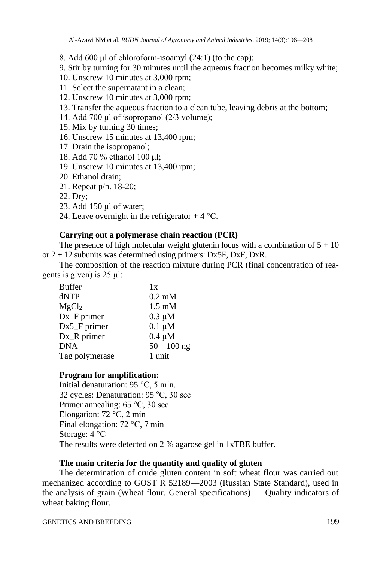8. Add 600 μl of chloroform-isoamyl (24:1) (to the cap);

9. Stir by turning for 30 minutes until the aqueous fraction becomes milky white;

10. Unscrew 10 minutes at 3,000 rpm;

- 11. Select the supernatant in a clean;
- 12. Unscrew 10 minutes at 3,000 rpm;
- 13. Transfer the aqueous fraction to a clean tube, leaving debris at the bottom;
- 14. Add 700 μl of isopropanol (2/3 volume);
- 15. Mix by turning 30 times;
- 16. Unscrew 15 minutes at 13,400 rpm;
- 17. Drain the isopropanol;
- 18. Add 70 % ethanol 100 μl;
- 19. Unscrew 10 minutes at 13,400 rpm;
- 20. Ethanol drain;
- 21. Repeat p/n. 18-20;
- 22. Dry;
- 23. Add 150 μl of water;
- 24. Leave overnight in the refrigerator  $+4$  °C.

## **Carrying out a polymerase chain reaction (PCR)**

The presence of high molecular weight glutenin locus with a combination of  $5 + 10$ or  $2 + 12$  subunits was determined using primers: Dx5F, DxF, DxR.

The composition of the reaction mixture during PCR (final concentration of reagents is given) is 25 μl:

| <b>Buffer</b>     | 1x               |
|-------------------|------------------|
| dNTP              | $0.2 \text{ mM}$ |
| MgCl <sub>2</sub> | $1.5 \text{ mM}$ |
| Dx_F primer       | $0.3 \mu M$      |
| Dx5_F primer      | $0.1 \mu M$      |
| Dx_R primer       | $0.4 \mu M$      |
| <b>DNA</b>        | $50 - 100$ ng    |
| Tag polymerase    | 1 unit           |

# **Program for amplification:**

Initial denaturation: 95 °C, 5 min. 32 cycles: Denaturation:  $95^{\circ}$ C, 30 sec Primer annealing: 65 °C, 30 sec Elongation: 72 °C, 2 min Final elongation: 72 °C, 7 min Storage: 4 °C The results were detected on 2 % agarose gel in 1xTBE buffer.

# **The main criteria for the quantity and quality of gluten**

The determination of crude gluten content in soft wheat flour was carried out mechanized according to GOST R 52189—2003 (Russian State Standard), used in the analysis of grain (Wheat flour. General specifications) — Quality indicators of wheat baking flour.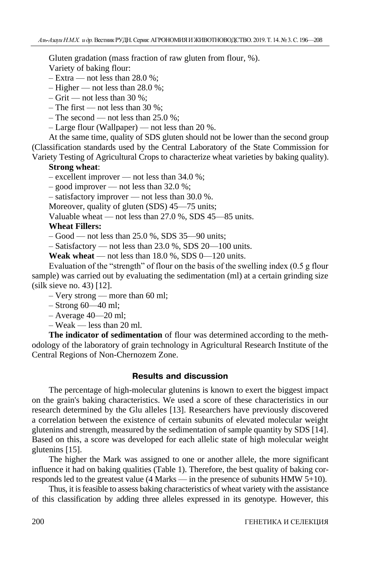Gluten gradation (mass fraction of raw gluten from flour, %).

Variety of baking flour:

 $-$  Extra — not less than 28.0 %;

 $-$  Higher — not less than 28.0 %;

 $-$  Grit — not less than 30 %;

– The first — not less than  $30\%$ ;

– The second — not less than  $25.0\%$ :

 $-$  Large flour (Wallpaper) — not less than 20 %.

At the same time, quality of SDS gluten should not be lower than the second group (Classification standards used by the Central Laboratory of the State Commission for Variety Testing of Agricultural Crops to characterize wheat varieties by baking quality).

#### **Strong wheat**:

– excellent improver — not less than 34.0 %;

– good improver — not less than 32.0 %;

– satisfactory improver — not less than 30.0 %.

Moreover, quality of gluten (SDS) 45–75 units;

Valuable wheat — not less than 27.0 %, SDS 45—85 units.

## **Wheat Fillers:**

– Good — not less than 25.0 %, SDS 35—90 units;

 $-$  Satisfactory — not less than 23.0 %, SDS 20—100 units.

**Weak wheat** — not less than  $18.0\%$ , SDS  $0-120$  units.

Evaluation of the "strength" of flour on the basis of the swelling index (0.5 g flour sample) was carried out by evaluating the sedimentation (ml) at a certain grinding size (silk sieve no. 43) [12].

– Very strong — more than 60 ml;

– Strong 60—40 ml;

– Average 40—20 ml;

 $-$  Weak — less than 20 ml.

**The indicator of sedimentation** of flour was determined according to the methodology of the laboratory of grain technology in Agricultural Research Institute of the Central Regions of Non-Chernozem Zone.

## Results and discussion

The percentage of high-molecular glutenins is known to exert the biggest impact on the grain's baking characteristics. We used a score of these characteristics in our research determined by the Glu alleles [13]. Researchers have previously discovered a correlation between the existence of certain subunits of elevated molecular weight glutenins and strength, measured by the sedimentation of sample quantity by SDS [14]. Based on this, a score was developed for each allelic state of high molecular weight glutenins [15].

The higher the Mark was assigned to one or another allele, the more significant influence it had on baking qualities (Table 1). Therefore, the best quality of baking corresponds led to the greatest value (4 Marks — in the presence of subunits HMW 5+10).

Thus, it is feasible to assess baking characteristics of wheat variety with the assistance of this classification by adding three alleles expressed in its genotype. However, this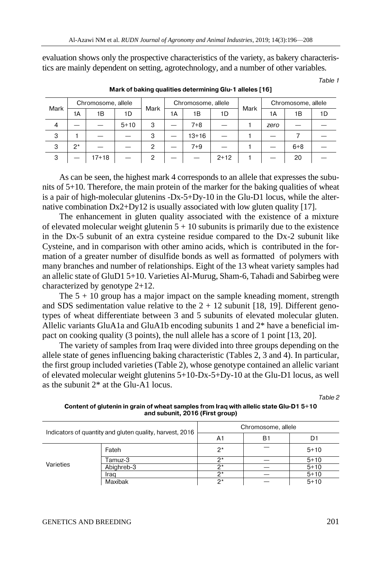evaluation shows only the prospective characteristics of the variety, as bakery characteristics are mainly dependent on setting, agrotechnology, and a number of other variables.

Table 1

| Mark                     | Chromosome, allele |       |          | Mark | Chromosome, allele |         |          | Mark | Chromosome, allele |         |    |
|--------------------------|--------------------|-------|----------|------|--------------------|---------|----------|------|--------------------|---------|----|
|                          | 1Α                 | 1Β    | 1D       |      | 1Α                 | 1В      | 1D       |      | 1А                 | 1Β      | 1D |
| $\overline{\mathcal{A}}$ |                    |       | $5 + 10$ | 3    |                    | $7 + 8$ |          |      | zero               |         |    |
| 3                        |                    |       |          | 3    |                    | $13+16$ |          |      |                    |         |    |
| 3                        | $2^{\star}$        |       |          |      |                    | $7 + 9$ |          |      |                    | $6 + 8$ |    |
| 3                        |                    | 17+18 |          | ∩    |                    |         | $2 + 12$ |      |                    | 20      |    |

Mark of baking qualities determining Glu-1 alleles [16]

As can be seen, the highest mark 4 corresponds to an allele that expresses the subunits of 5+10. Therefore, the main protein of the marker for the baking qualities of wheat is a pair of high-molecular glutenins -Dx-5+Dy-10 in the Glu-D1 locus, while the alternative combination  $Dx^2+Dy12$  is usually associated with low gluten quality [17].

The enhancement in gluten quality associated with the existence of a mixture of elevated molecular weight glutenin  $5 + 10$  subunits is primarily due to the existence in the Dx-5 subunit of an extra cysteine residue compared to the Dx-2 subunit like Cysteine, and in comparison with other amino acids, which is contributed in the formation of a greater number of disulfide bonds as well as formatted of polymers with many branches and number of relationships. Eight of the 13 wheat variety samples had an allelic state of GluD1 5+10. Varieties Al-Murug, Sham-6, Tahadi and Sabirbeg were characterized by genotype 2+12.

The  $5 + 10$  group has a major impact on the sample kneading moment, strength and SDS sedimentation value relative to the  $2 + 12$  subunit [18, 19]. Different genotypes of wheat differentiate between 3 and 5 subunits of elevated molecular gluten. Allelic variants GluA1a and GluA1b encoding subunits 1 and 2\* have a beneficial impact on cooking quality (3 points), the null allele has a score of 1 point [13, 20].

The variety of samples from Iraq were divided into three groups depending on the allele state of genes influencing baking characteristic (Tables 2, 3 and 4). In particular, the first group included varieties (Table 2), whose genotype contained an allelic variant of elevated molecular weight glutenins 5+10-Dx-5+Dy-10 at the Glu-D1 locus, as well as the subunit 2\* at the Glu-A1 locus.

Table 2

Content of glutenin in grain of wheat samples from Iraq with allelic state Glu-D1 5+10 and subunit, 2016 (First group)

| Indicators of quantity and gluten quality, harvest, 2016 |            | Chromosome, allele |    |          |  |
|----------------------------------------------------------|------------|--------------------|----|----------|--|
|                                                          |            | A1                 | Β1 | D1       |  |
|                                                          | Fateh      | $2^*$              |    | $5 + 10$ |  |
|                                                          | Tamuz-3    | n*                 |    | $5+10$   |  |
| Varieties                                                | Abighreb-3 | $\sim$             |    | $5 + 10$ |  |
|                                                          | Iraq       | $\mathbf{a}$       |    | $5 + 10$ |  |
|                                                          | Maxibak    | ク*                 |    | $5 + 10$ |  |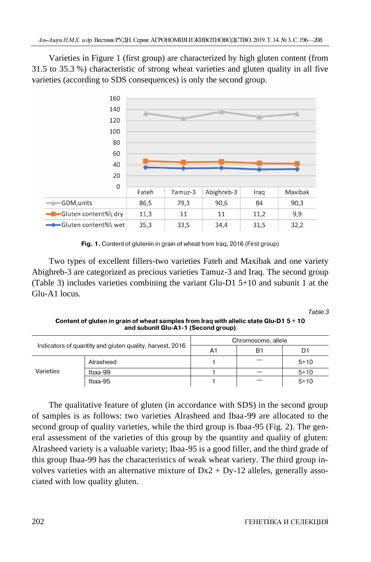Varieties in Figure 1 (first group) are characterized by high gluten content (from 31.5 to 35.3 %) characteristic of strong wheat varieties and gluten quality in all five varieties (according to SDS consequences) is only the second group.



Fig. 1. Content of glutenin in grain of wheat from Iraq, 2016 (First group)

Two types of excellent fillers-two varieties Fateh and Maxibak and one variety Abighreb-3 are categorized as precious varieties Tamuz-3 and Iraq. The second group (Table 3) includes varieties combining the variant Glu-D1 5+10 and subunit 1 at the Glu-A1 locus.

Table 3

Content of gluten in grain of wheat samples from Iraq with allelic state Glu-D1 5 + 10 and subunit Glu-A1-1 (Second group)

| Indicators of quantity and gluten quality, harvest, 2016 |           | Chromosome, allele |    |          |  |
|----------------------------------------------------------|-----------|--------------------|----|----------|--|
|                                                          |           | A1                 | Β1 | Df       |  |
| Varieties                                                | Alrasheed |                    |    | $5 + 10$ |  |
|                                                          | Ibaa-99   |                    |    | $5 + 10$ |  |
|                                                          | Ibaa-95   |                    |    | $5+10$   |  |

The qualitative feature of gluten (in accordance with SDS) in the second group of samples is as follows: two varieties Alrasheed and Ibaa-99 are allocated to the second group of quality varieties, while the third group is Ibaa-95 (Fig. 2). The general assessment of the varieties of this group by the quantity and quality of gluten: Alrasheed variety is a valuable variety; Ibaa-95 is a good filler, and the third grade of this group Ibaa-99 has the characteristics of weak wheat variety. The third group involves varieties with an alternative mixture of  $Dx^2 + Dy-12$  alleles, generally associated with low quality gluten.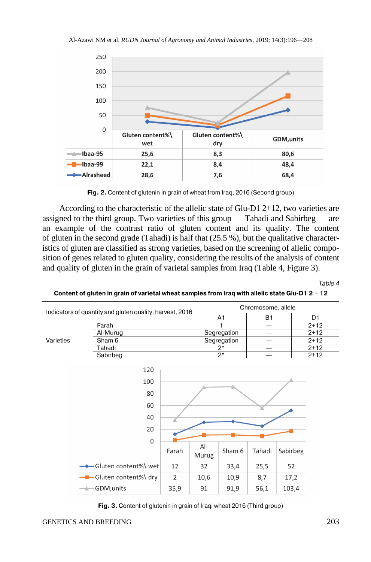

Fig. 2. Content of glutenin in grain of wheat from Iraq, 2016 (Second group)

According to the characteristic of the allelic state of Glu-D1 2+12, two varieties are assigned to the third group. Two varieties of this group — Tahadi and Sabirbeg — are an example of the contrast ratio of gluten content and its quality. The content of gluten in the second grade (Tahadi) is half that  $(25.5 \%)$ , but the qualitative characteristics of gluten are classified as strong varieties, based on the screening of allelic composition of genes related to gluten quality, considering the results of the analysis of content and quality of gluten in the grain of varietal samples from Iraq (Table 4, Figure 3).

Table 4

Content of gluten in grain of varietal wheat samples from Iraq with allelic state Glu-D1 2 + 12



Fig. 3. Content of glutenin in grain of Iragi wheat 2016 (Third group)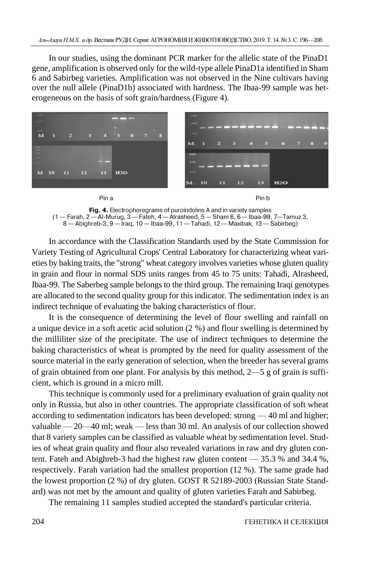In our studies, using the dominant PCR marker for the allelic state of the PinaD1 gene, amplification is observed only for the wild-type allele PinaD1a identified in Sham 6 and Sabirbeg varieties. Amplification was not observed in the Nine cultivars having over the null allele (PinaD1b) associated with hardness. The Ibaa-99 sample was heterogeneous on the basis of soft grain/hardness (Figure 4).



Fig. 4. Electrophoregrams of puroindolins A and in variety samples  $(1 -$ Farah,  $2 -$ Al-Murug,  $3 -$ Fateh,  $4 -$ Alrasheed,  $5 -$ Sham 6,  $6 -$ Ibaa-99, 7—Tamuz 3, 8 - Abighreb-3, 9 - Iraq, 10 - Ibaa-99, 11 - Tahadi, 12 - Maxibak, 13 - Sabirbeg)

In accordance with the Classification Standards used by the State Commission for Variety Testing of Agricultural Crops' Central Laboratory for characterizing wheat varieties by baking traits, the "strong" wheat category involves varieties whose gluten quality in grain and flour in normal SDS units ranges from 45 to 75 units: Tahadi, Alrasheed, Ibaa-99. The Saberbeg sample belongs to the third group. The remaining Iraqi genotypes are allocated to the second quality group for this indicator. The sedimentation index is an indirect technique of evaluating the baking characteristics of flour.

It is the consequence of determining the level of flour swelling and rainfall on a unique device in a soft acetic acid solution (2 %) and flour swelling is determined by the milliliter size of the precipitate. The use of indirect techniques to determine the baking characteristics of wheat is prompted by the need for quality assessment of the source material in the early generation of selection, when the breeder has several grams of grain obtained from one plant. For analysis by this method,  $2-5$  g of grain is sufficient, which is ground in a micro mill.

This technique is commonly used for a preliminary evaluation of grain quality not only in Russia, but also in other countries. The appropriate classification of soft wheat according to sedimentation indicators has been developed: strong — 40 ml and higher; valuable — 20—40 ml; weak — less than 30 ml. An analysis of our collection showed that 8 variety samples can be classified as valuable wheat by sedimentation level. Studies of wheat grain quality and flour also revealed variations in raw and dry gluten content. Fateh and Abighreb-3 had the highest raw gluten content — 35.3 % and 34.4 %, respectively. Farah variation had the smallest proportion (12 %). The same grade had the lowest proportion (2 %) of dry gluten. GOST R 52189-2003 (Russian State Standard) was not met by the amount and quality of gluten varieties Farah and Sabirbeg.

The remaining 11 samples studied accepted the standard's particular criteria.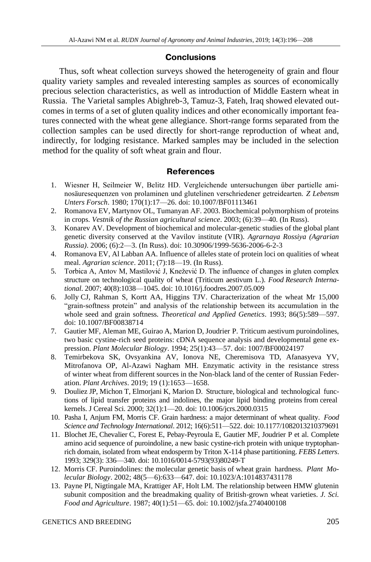## **Conclusions**

Thus, soft wheat collection surveys showed the heterogeneity of grain and flour quality variety samples and revealed interesting samples as sources of economically precious selection characteristics, as well as introduction of Middle Eastern wheat in Russia. The Varietal samples Abighreb-3, Tamuz-3, Fateh, Iraq showed elevated outcomes in terms of a set of gluten quality indices and other economically important features connected with the wheat gene allegiance. Short-range forms separated from the collection samples can be used directly for short-range reproduction of wheat and, indirectly, for lodging resistance. Marked samples may be included in the selection method for the quality of soft wheat grain and flour.

## **References**

- 1. Wiesner H, Seilmeier W, Belitz HD. Vergleichende untersuchungen über partielle aminosäuresequenzen von prolaminen und glutelinen verschriedener getreidearten. *Z Lebensm Unters Forsch*. 1980; 170(1):17—26. doi: 10.1007/BF01113461
- 2. Romanova EV, Martynov OL, Tumanyan AF. 2003. Biochemical polymorphism of proteins in crops. *Vestnik of the Russian agricultural science*. 2003; (6):39—40. (In Russ).
- 3. Konarev AV. Development of biochemical and molecular-genetic studies of the global plant genetic diversity conserved at the Vavilov institute (VIR). *Agrarnaya Rossiya (Agrarian Russia)*. 2006; (6):2—3. (In Russ). doi: [10.30906/1999-5636-2006-6-2-3](https://doi.org/10.30906/1999-5636-2006-6-2-3)
- 4. Romanova EV, Al Labban AA. Influence of alleles state of protein loci on qualities of wheat meal. *Agrarian science*. 2011; (7):18—19. (In Russ).
- 5. Torbica A, Antov M, Mastilović J, Knežević D. The influence of changes in gluten complex structure on technological quality of wheat (Triticum aestivum L.). *Food Research International*. 2007; 40(8):1038—1045. [doi: 10.1016/j.foodres.2007.05.009](https://doi.org/10.1016/j.foodres.2007.05.009)
- 6. Jolly CJ, Rahman S, Kortt AA, Higgins TJV. Characterization of the wheat Mr 15,000 "grain-softness protein" and analysis of the relationship between its accumulation in the whole seed and grain softness. *Theoretical and Applied Genetics*. 1993; 86(5):589—597. doi: 10.1007/BF00838714
- 7. [Gautier MF, Aleman ME, Guirao A, Marion D, Joudrier](https://yandex.ru/images/search?text=Gautier%20M.F.%2C%20Aleman%20M.E.%2C%20Guirao%20A.%20etal.1994..%20Triticumaestivumpuroindolines%2C%20two%20cystinerich%20seed%20proteins%3A%20cDNA%20sequence%20analysis%20and%20developmental%20gene%20expression%20%2F%2F%20Plant%20Mol.%20Biol.%20V.%2025.%20P.%2043%E2%80%9357.%29&stype=image&lr=213&source=wiz&nomisspell=1&noreask=1) P. Triticum aestivum puroindolines, [two basic cystine-rich seed proteins: cDNA sequence analysis and developmental gene ex](https://yandex.ru/images/search?text=Gautier%20M.F.%2C%20Aleman%20M.E.%2C%20Guirao%20A.%20etal.1994..%20Triticumaestivumpuroindolines%2C%20two%20cystinerich%20seed%20proteins%3A%20cDNA%20sequence%20analysis%20and%20developmental%20gene%20expression%20%2F%2F%20Plant%20Mol.%20Biol.%20V.%2025.%20P.%2043%E2%80%9357.%29&stype=image&lr=213&source=wiz&nomisspell=1&noreask=1)pression. *[Plant Molecular Biology](https://yandex.ru/images/search?text=Gautier%20M.F.%2C%20Aleman%20M.E.%2C%20Guirao%20A.%20etal.1994..%20Triticumaestivumpuroindolines%2C%20two%20cystinerich%20seed%20proteins%3A%20cDNA%20sequence%20analysis%20and%20developmental%20gene%20expression%20%2F%2F%20Plant%20Mol.%20Biol.%20V.%2025.%20P.%2043%E2%80%9357.%29&stype=image&lr=213&source=wiz&nomisspell=1&noreask=1)*. 1994; 25(1):43—57. doi: 1007/BF00024197
- 8. Temirbekova SK, Ovsyankina AV, Ionova NE, Cheremisova TD, Afanasyeva YV, Mitrofanova OP, Al-Azawi Nagham MH. Enzymatic activity in the resistance stress of winter wheat from different sources in the Non-black land of the center of Russian Federation. *Plant Archives*. 2019; 19 (1):1653—1658.
- 9. Douliez JP, Michon T, Elmorjani K, Marion D. Structure, biological and technological functions of lipid transfer proteins and indolines, the major lipid binding proteins from cereal kernels. J Cereal Sci. 2000; 32(1):1—20[. doi: 10.1006/jcrs.2000.0315](https://doi.org/10.1006/jcrs.2000.0315)
- 10. Pasha I, Anjum FM, Morris CF. Grain hardness: a major determinant of wheat quality. *[Food](https://www.researchgate.net/journal/1082-0132_Food_Science_and_Technology_International)  [Science and Technology International](https://www.researchgate.net/journal/1082-0132_Food_Science_and_Technology_International)*. 2012; 16(6):511—522[. doi: 10.1177/1082013210379691](https://doi.org/10.1177%2F1082013210379691)
- 11. Blochet JE, Chevalier C, Forest E, Pebay-Peyroula E, Gautier MF, Joudrier P et al. Complete amino acid sequence of puroindoline, a new basic cystine-rich protein with unique tryptophanrich domain, isolated from wheat endosperm by Triton X-114 phase partitioning. *FEBS Letters*. 1993; 329(3): 336—340. [doi: 10.1016/0014-5793\(93\)80249-T](https://doi.org/10.1016/0014-5793(93)80249-T)
- 12. Morris CF. Puroindolines: the molecular genetic basis of wheat grain hardness. *Plant Molecular Biology*. 2002; 48(5—6):633—647. doi: 10.1023/A:1014837431178
- 13. Payne PI, Nigtingale MA, Krattiger AF, Holt LM. The relationship between HMW glutenin subunit composition and the breadmaking quality of British-grown wheat varieties. *J. Sci. Food and Agriculture*. 1987; 40(1):51—65. [doi: 10.1002/jsfa.2740400108](https://doi.org/10.1002/jsfa.2740400108)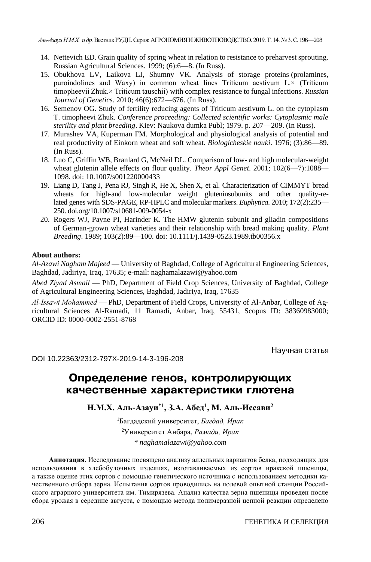- 14. Nettevich ED. Grain quality of spring wheat in relation to resistance to preharvest sprouting. [Russian Agricultural Sciences.](https://elibrary.ru/title_profile.asp?id=25577) 1999; (6):6—8. (In Russ).
- 15. Obukhova LV, Laikova LI, Shumny VK. Analysis of storage proteins (prolamines, puroindolines and Waxy) in common wheat lines Triticum aestivum L.× (Triticum timopheevii Zhuk.× Triticum tauschii) with complex resistance to fungal infections. *[Russian](https://link.springer.com/journal/11177)  [Journal of Genetics.](https://link.springer.com/journal/11177)* 2010; 46[\(6\)](https://link.springer.com/journal/11177/46/6/page/1):672—676. (In Russ).
- 16. Semenov OG. Study of fertility reducing agents of Triticum aestivum L. on the cytoplasm T. timopheevi Zhuk. *Conference proceeding: Collected scientific works: Cytoplasmic male sterility and plant breeding*. Kiev: Naukova dumka Publ; 1979. p. 207—209. (In Russ).
- 17. Murashev VA, Kuperman FM. Morphological and physiological analysis of potential and real productivity of Einkorn wheat and soft wheat. *Biologicheskie nauki*. 1976; (3):86—89. (In Russ).
- 18. Luo [C, Griffin WB, Branlard G, McNeil DL. Comparison of low-](https://yandex.ru/images/search?text=1-%20Lua%20C%2C%20Griffin%20WB%2C%20Branlard%20G%2C%20McNeil%20DL%20%282001%29%20Comparison%20of%20low-%20and%20high%20molecular-weight%20wheat%20glutenin%20allele%20effects%20on%20flour%20quality.%20Theor%20Appl%20Genet.%202%3A1088-1098&stype=image&lr=213&source=wiz&uinfo=sw-1600-sh-900-ww-1600-wh-757-pd-1-wp-16x9_1600x900&source-serpid=h2Mq_pdW1aXHXh--_z_SWw) and high molecular-weight [wheat glutenin allele effects on flour quality.](https://yandex.ru/images/search?text=1-%20Lua%20C%2C%20Griffin%20WB%2C%20Branlard%20G%2C%20McNeil%20DL%20%282001%29%20Comparison%20of%20low-%20and%20high%20molecular-weight%20wheat%20glutenin%20allele%20effects%20on%20flour%20quality.%20Theor%20Appl%20Genet.%202%3A1088-1098&stype=image&lr=213&source=wiz&uinfo=sw-1600-sh-900-ww-1600-wh-757-pd-1-wp-16x9_1600x900&source-serpid=h2Mq_pdW1aXHXh--_z_SWw) *Theor Appl Genet*. 2001; 102(6—7):1088— [1098.](https://yandex.ru/images/search?text=1-%20Lua%20C%2C%20Griffin%20WB%2C%20Branlard%20G%2C%20McNeil%20DL%20%282001%29%20Comparison%20of%20low-%20and%20high%20molecular-weight%20wheat%20glutenin%20allele%20effects%20on%20flour%20quality.%20Theor%20Appl%20Genet.%202%3A1088-1098&stype=image&lr=213&source=wiz&uinfo=sw-1600-sh-900-ww-1600-wh-757-pd-1-wp-16x9_1600x900&source-serpid=h2Mq_pdW1aXHXh--_z_SWw) doi: 10.1007/s001220000433
- 19. Liang D, Tang J, Pena RJ, Singh R, He X, Shen X, et al. Characterization of CIMMYT bread wheats for high-and low-molecular weight gluteninsubunits and other quality-related genes with SDS-PAGE, RP-HPLC and molecular markers. *Euphytica.* 2010; 172(2):235— 250. doi.org/10.1007/s10681-009-0054-x
- 20. Rogers WJ, Payne PI, Harinder K. The HMW glutenin subunit and gliadin compositions of German-grown wheat varieties and their relationship with bread making quality. *Plant Breeding*. 1989; 103(2):89—100. [doi: 10.1111/j.1439-0523.1989.tb00356.x](https://doi.org/10.1111/j.1439-0523.1989.tb00356.x)

#### **About authors:**

*Al-Azawi Nagham Majeed* — University of Baghdad, College of Agricultural Engineering Sciences, Baghdad, Jadiriya, Iraq, 17635; e-mail: naghamalazawi@yahoo.com

*Abed Ziyad Asmail* — PhD, Department of Field Crop Sciences, University of Baghdad, College of Agricultural Engineering Sciences, Baghdad, Jadiriya, Iraq, 17635

*Al‐Issawi Mohammed* — PhD, Department of Field Crops, University of Al-Anbar, College of Agricultural Sciences Al-Ramadi, 11 Ramadi, Anbar, Iraq, 55431, Scopus ID: 38360983000; ORCID ID: 0000-0002-2551-8768

Научная статья

DOI 10.22363/2312-797X-2019-14-3-196-208

# Определение генов, контролирующих качественные характеристики глютена

**Н.М.Х. Аль-Азауи\*1, З.А. Абед<sup>1</sup> , М. Аль-Иссави<sup>2</sup>**

<sup>1</sup>Багдадский университет, *Багдад, Ирак* <sup>2</sup>Университет Анбара, *Рамади, Ирак \* naghamalazawi@yahoo.com*

**Аннотация.** Исследование посвящено анализу аллельных вариантов белка, подходящих для использования в хлебобулочных изделиях, изготавливаемых из сортов иракской пшеницы, а также оценке этих сортов с помощью генетического источника с использованием методики качественного отбора зерна. Испытания сортов проводились на полевой опытной станции Российского аграрного университета им. Тимирязева. Анализ качества зерна пшеницы проведен после сбора урожая в середине августа, с помощью метода полимеразной цепной реакции определено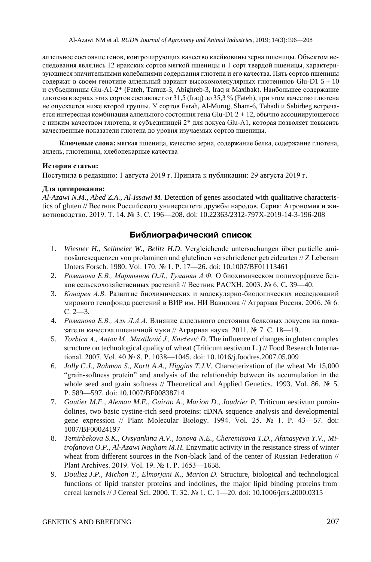аллельное состояние генов, контролирующих качество клейковины зерна пшеницы. Объектом исследования являлись 12 иракских сортов мягкой пшеницы и 1 сорт твердой пшеницы, характеризующиеся значительными колебаниями содержания глютена и его качества. Пять сортов пшеницы содержат в своем генотипе аллельный вариант высокомолекулярных глютенинов Glu-D1  $5 + 10$ и субъединицы Glu-A1-2\* (Fateh, Tamuz-3, Abighreb-3, Iraq и Maxibak). Наибольшее содержание глютена в зернах этих сортов составляет от 31,5 (Iraq) до 35,3 % (Fateh), при этом качество глютена не опускается ниже второй группы. У сортов Farah, Al-Murug, Sham-6, Tahadi и Sabirbeg встречается интересная комбинация аллельного состояния гена Glu-D1 2 + 12, обычно ассоциирующегося с низким качеством глютена, и субъединицей 2\* для локуса Glu-A1, которая позволяет повысить качественные показатели глютена до уровня изучаемых сортов пшеницы.

**Ключевые слова:** мягкая пшеница, качество зерна, содержание белка, содержание глютена, аллель, глютенины, хлебопекарные качества

#### **История статьи:**

Поступила в редакцию: 1 августа 2019 г. Принята к публикации: 29 августа 2019 г.

#### **Для цитирования:**

*Al-Azawi N.M., Abed Z.A., Al‐Issawi M.* Detection of genes associated with qualitative characteristics of gluten // Вестник Российского университета дружбы народов. Серия: Агрономия и животноводство. 2019. Т. 14. № 3. С. 196—208. doi: 10.22363/2312-797X-2019-14-3-196-208

#### Библиографический список

- 1. *Wiesner H., Seilmeier W., Belitz H.D*. Vergleichende untersuchungen über partielle aminosäuresequenzen von prolaminen und glutelinen verschriedener getreidearten // Z Lebensm Unters Forsch. 1980. Vol. 170. № 1. P. 17—26. doi: 10.1007/BF01113461
- 2. *Романова Е.В., Мартынов О.Л., Туманян А.Ф.* О биохимическом полиморфизме белков сельскохозяйственных растений // Вестник РАСХН. 2003. № 6. C. 39—40.
- 3. *Конарев А.В.* Развитие биохимических и молекулярно-биологических исследований мирового генофонда растений в ВИР им. НИ Вавилова // Аграрная Россия. 2006. № 6. С. 2—3.
- 4. *Романова Е.В., Аль Л.А.А.* Влияние аллельного состояния белковых локусов на показатели качества пшеничной муки // Аграрная наука. 2011. № 7. С. 18—19.
- 5. *Torbica A., Antov M., Mastilović J., Knežević D*. The influence of changes in gluten complex structure on technological quality of wheat (Triticum aestivum L.) // Food Research International. 2007. Vol. 40 № 8. P. 1038—1045. [doi: 10.1016/j.foodres.2007.05.009](https://doi.org/10.1016/j.foodres.2007.05.009)
- 6. *Jolly C.J., Rahman S., Kortt A.A., Higgins T.J.V.* Characterization of the wheat Mr 15,000 "grain-softness protein" and analysis of the relationship between its accumulation in the whole seed and grain softness // Theoretical and Applied Genetics. 1993. Vol. 86. № 5. P. 589—597. doi: 10.1007/BF00838714
- 7. *Gautier M.F., Aleman M.E., Guirao A., Marion D., Joudrier P.* Triticum aestivum puroin[dolines, two basic cystine-rich seed proteins: cDNA sequence analysis and developmental](https://yandex.ru/images/search?text=Gautier%20M.F.%2C%20Aleman%20M.E.%2C%20Guirao%20A.%20etal.1994..%20Triticumaestivumpuroindolines%2C%20two%20cystinerich%20seed%20proteins%3A%20cDNA%20sequence%20analysis%20and%20developmental%20gene%20expression%20%2F%2F%20Plant%20Mol.%20Biol.%20V.%2025.%20P.%2043%E2%80%9357.%29&stype=image&lr=213&source=wiz&nomisspell=1&noreask=1)  [gene expression // Plant Molecular Biology. 1994. Vol. 25. № 1. P. 43—57.](https://yandex.ru/images/search?text=Gautier%20M.F.%2C%20Aleman%20M.E.%2C%20Guirao%20A.%20etal.1994..%20Triticumaestivumpuroindolines%2C%20two%20cystinerich%20seed%20proteins%3A%20cDNA%20sequence%20analysis%20and%20developmental%20gene%20expression%20%2F%2F%20Plant%20Mol.%20Biol.%20V.%2025.%20P.%2043%E2%80%9357.%29&stype=image&lr=213&source=wiz&nomisspell=1&noreask=1) doi: 1007/BF00024197
- 8. *Temirbekova S.K., Ovsyankina A.V., Ionova N.E., Cheremisova T.D., Afanasyeva Y.V., Mitrofanova O.P., Al-Azawi Nagham M.H.* Enzymatic activity in the resistance stress of winter wheat from different sources in the Non-black land of the center of Russian Federation // Plant Archives. 2019. Vol. 19. № 1. P. 1653—1658.
- 9. *Douliez J.P., Michon T., Elmorjani K., Marion D.* Structure, biological and technological functions of lipid transfer proteins and indolines, the major lipid binding proteins from cereal kernels // J Cereal Sci. 2000. T. 32. № 1. C. 1—20. [doi: 10.1006/jcrs.2000.0315](https://doi.org/10.1006/jcrs.2000.0315)